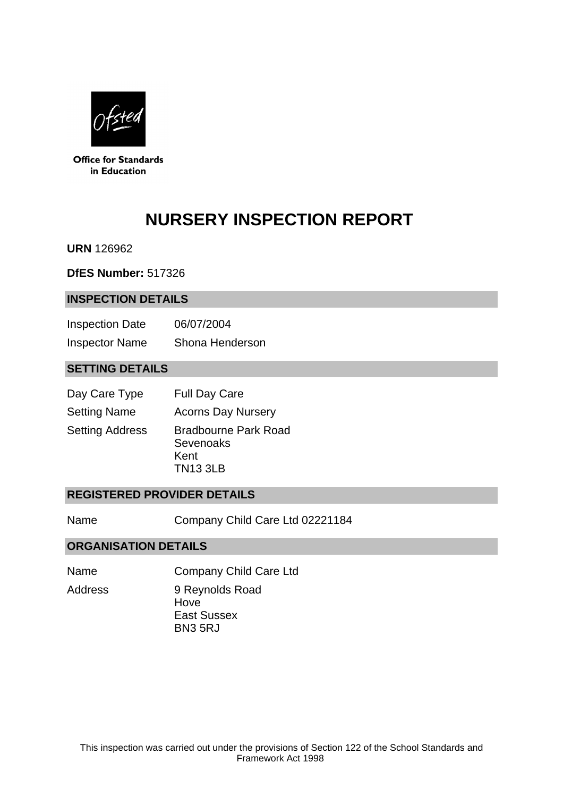

**Office for Standards** in Education

# **NURSERY INSPECTION REPORT**

**URN** 126962

**DfES Number:** 517326

#### **INSPECTION DETAILS**

| <b>Inspection Date</b> | 06/07/2004      |
|------------------------|-----------------|
| <b>Inspector Name</b>  | Shona Henderson |

## **SETTING DETAILS**

| Day Care Type          | <b>Full Day Care</b>                                                |
|------------------------|---------------------------------------------------------------------|
| <b>Setting Name</b>    | <b>Acorns Day Nursery</b>                                           |
| <b>Setting Address</b> | <b>Bradbourne Park Road</b><br>Sevenoaks<br>Kent<br><b>TN13 3LB</b> |

#### **REGISTERED PROVIDER DETAILS**

Name Company Child Care Ltd 02221184

#### **ORGANISATION DETAILS**

- Name Company Child Care Ltd
- Address 9 Reynolds Road Hove East Sussex BN3 5RJ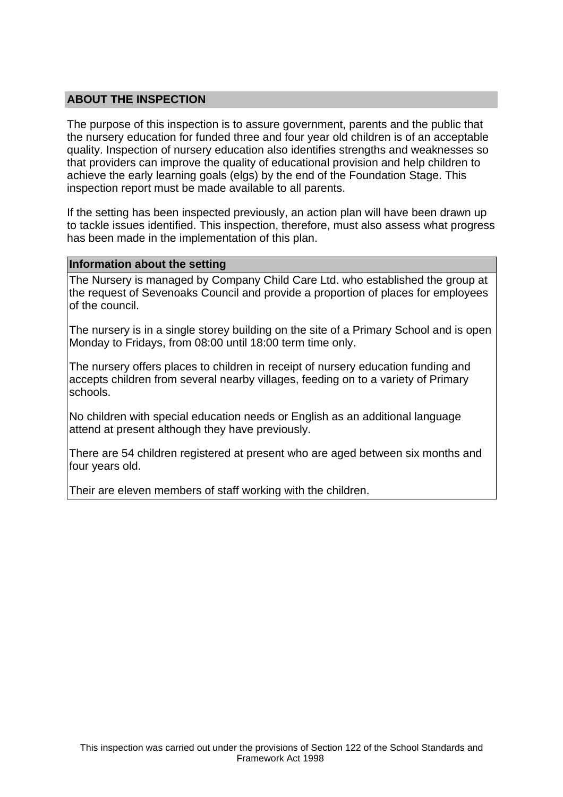## **ABOUT THE INSPECTION**

The purpose of this inspection is to assure government, parents and the public that the nursery education for funded three and four year old children is of an acceptable quality. Inspection of nursery education also identifies strengths and weaknesses so that providers can improve the quality of educational provision and help children to achieve the early learning goals (elgs) by the end of the Foundation Stage. This inspection report must be made available to all parents.

If the setting has been inspected previously, an action plan will have been drawn up to tackle issues identified. This inspection, therefore, must also assess what progress has been made in the implementation of this plan.

#### **Information about the setting**

The Nursery is managed by Company Child Care Ltd. who established the group at the request of Sevenoaks Council and provide a proportion of places for employees of the council.

The nursery is in a single storey building on the site of a Primary School and is open Monday to Fridays, from 08:00 until 18:00 term time only.

The nursery offers places to children in receipt of nursery education funding and accepts children from several nearby villages, feeding on to a variety of Primary schools.

No children with special education needs or English as an additional language attend at present although they have previously.

There are 54 children registered at present who are aged between six months and four years old.

Their are eleven members of staff working with the children.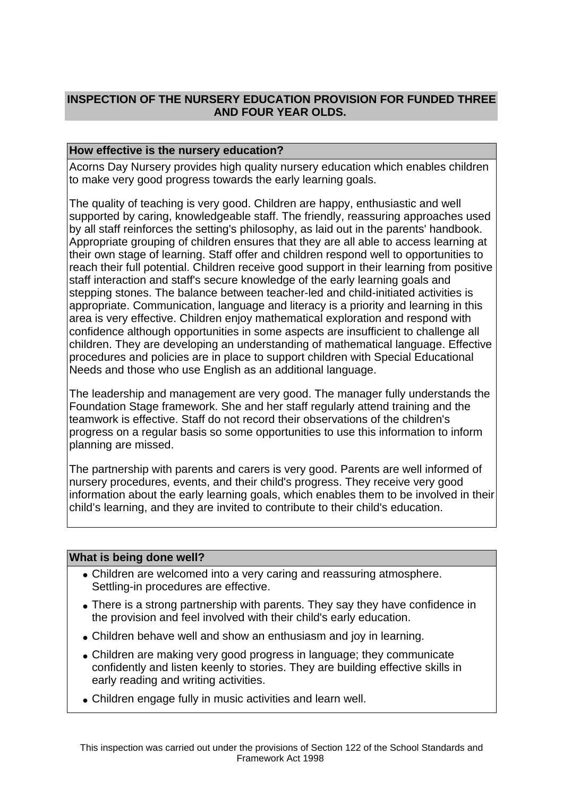## **INSPECTION OF THE NURSERY EDUCATION PROVISION FOR FUNDED THREE AND FOUR YEAR OLDS.**

### **How effective is the nursery education?**

Acorns Day Nursery provides high quality nursery education which enables children to make very good progress towards the early learning goals.

The quality of teaching is very good. Children are happy, enthusiastic and well supported by caring, knowledgeable staff. The friendly, reassuring approaches used by all staff reinforces the setting's philosophy, as laid out in the parents' handbook. Appropriate grouping of children ensures that they are all able to access learning at their own stage of learning. Staff offer and children respond well to opportunities to reach their full potential. Children receive good support in their learning from positive staff interaction and staff's secure knowledge of the early learning goals and stepping stones. The balance between teacher-led and child-initiated activities is appropriate. Communication, language and literacy is a priority and learning in this area is very effective. Children enjoy mathematical exploration and respond with confidence although opportunities in some aspects are insufficient to challenge all children. They are developing an understanding of mathematical language. Effective procedures and policies are in place to support children with Special Educational Needs and those who use English as an additional language.

The leadership and management are very good. The manager fully understands the Foundation Stage framework. She and her staff regularly attend training and the teamwork is effective. Staff do not record their observations of the children's progress on a regular basis so some opportunities to use this information to inform planning are missed.

The partnership with parents and carers is very good. Parents are well informed of nursery procedures, events, and their child's progress. They receive very good information about the early learning goals, which enables them to be involved in their child's learning, and they are invited to contribute to their child's education.

#### **What is being done well?**

- Children are welcomed into a very caring and reassuring atmosphere. Settling-in procedures are effective.
- There is a strong partnership with parents. They say they have confidence in the provision and feel involved with their child's early education.
- Children behave well and show an enthusiasm and joy in learning.
- Children are making very good progress in language; they communicate confidently and listen keenly to stories. They are building effective skills in early reading and writing activities.
- Children engage fully in music activities and learn well.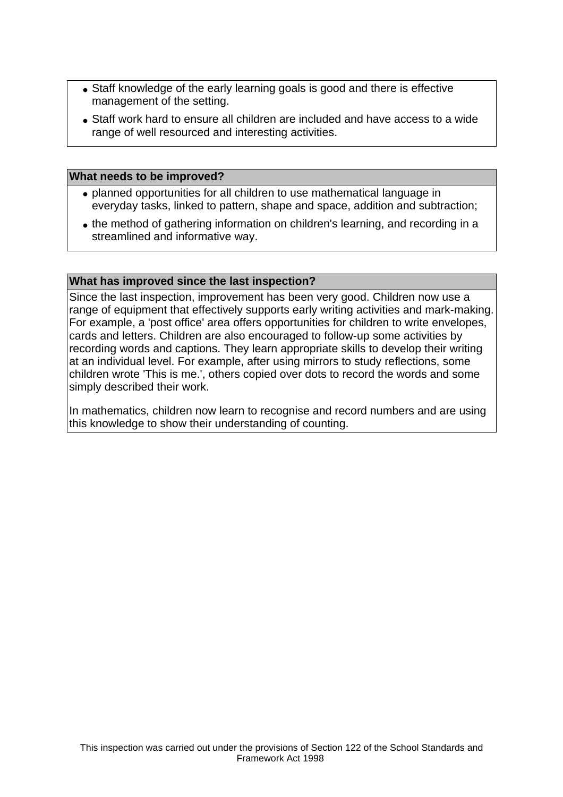- Staff knowledge of the early learning goals is good and there is effective management of the setting.
- Staff work hard to ensure all children are included and have access to a wide range of well resourced and interesting activities.

#### **What needs to be improved?**

- planned opportunities for all children to use mathematical language in everyday tasks, linked to pattern, shape and space, addition and subtraction;
- the method of gathering information on children's learning, and recording in a streamlined and informative way.

#### **What has improved since the last inspection?**

Since the last inspection, improvement has been very good. Children now use a range of equipment that effectively supports early writing activities and mark-making. For example, a 'post office' area offers opportunities for children to write envelopes, cards and letters. Children are also encouraged to follow-up some activities by recording words and captions. They learn appropriate skills to develop their writing at an individual level. For example, after using mirrors to study reflections, some children wrote 'This is me.', others copied over dots to record the words and some simply described their work.

In mathematics, children now learn to recognise and record numbers and are using this knowledge to show their understanding of counting.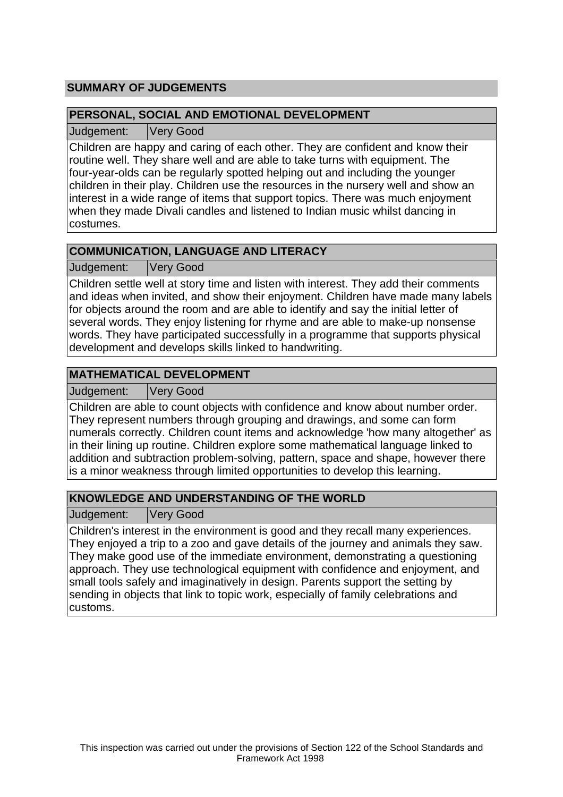## **SUMMARY OF JUDGEMENTS**

## **PERSONAL, SOCIAL AND EMOTIONAL DEVELOPMENT**

Judgement: Very Good

Children are happy and caring of each other. They are confident and know their routine well. They share well and are able to take turns with equipment. The four-year-olds can be regularly spotted helping out and including the younger children in their play. Children use the resources in the nursery well and show an interest in a wide range of items that support topics. There was much enjoyment when they made Divali candles and listened to Indian music whilst dancing in costumes.

## **COMMUNICATION, LANGUAGE AND LITERACY**

Judgement: Very Good

Children settle well at story time and listen with interest. They add their comments and ideas when invited, and show their enjoyment. Children have made many labels for objects around the room and are able to identify and say the initial letter of several words. They enjoy listening for rhyme and are able to make-up nonsense words. They have participated successfully in a programme that supports physical development and develops skills linked to handwriting.

## **MATHEMATICAL DEVELOPMENT**

Judgement: Very Good

Children are able to count objects with confidence and know about number order. They represent numbers through grouping and drawings, and some can form numerals correctly. Children count items and acknowledge 'how many altogether' as in their lining up routine. Children explore some mathematical language linked to addition and subtraction problem-solving, pattern, space and shape, however there is a minor weakness through limited opportunities to develop this learning.

# **KNOWLEDGE AND UNDERSTANDING OF THE WORLD**

Judgement: Very Good

Children's interest in the environment is good and they recall many experiences. They enjoyed a trip to a zoo and gave details of the journey and animals they saw. They make good use of the immediate environment, demonstrating a questioning approach. They use technological equipment with confidence and enjoyment, and small tools safely and imaginatively in design. Parents support the setting by sending in objects that link to topic work, especially of family celebrations and customs.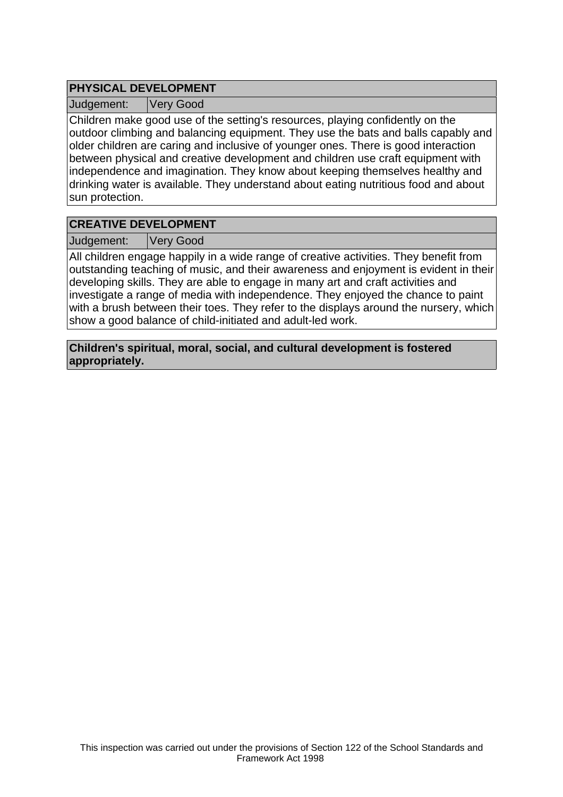## **PHYSICAL DEVELOPMENT**

Judgement: Very Good

Children make good use of the setting's resources, playing confidently on the outdoor climbing and balancing equipment. They use the bats and balls capably and older children are caring and inclusive of younger ones. There is good interaction between physical and creative development and children use craft equipment with independence and imagination. They know about keeping themselves healthy and drinking water is available. They understand about eating nutritious food and about sun protection.

## **CREATIVE DEVELOPMENT**

Judgement: Very Good

All children engage happily in a wide range of creative activities. They benefit from outstanding teaching of music, and their awareness and enjoyment is evident in their developing skills. They are able to engage in many art and craft activities and investigate a range of media with independence. They enjoyed the chance to paint with a brush between their toes. They refer to the displays around the nursery, which show a good balance of child-initiated and adult-led work.

**Children's spiritual, moral, social, and cultural development is fostered appropriately.**